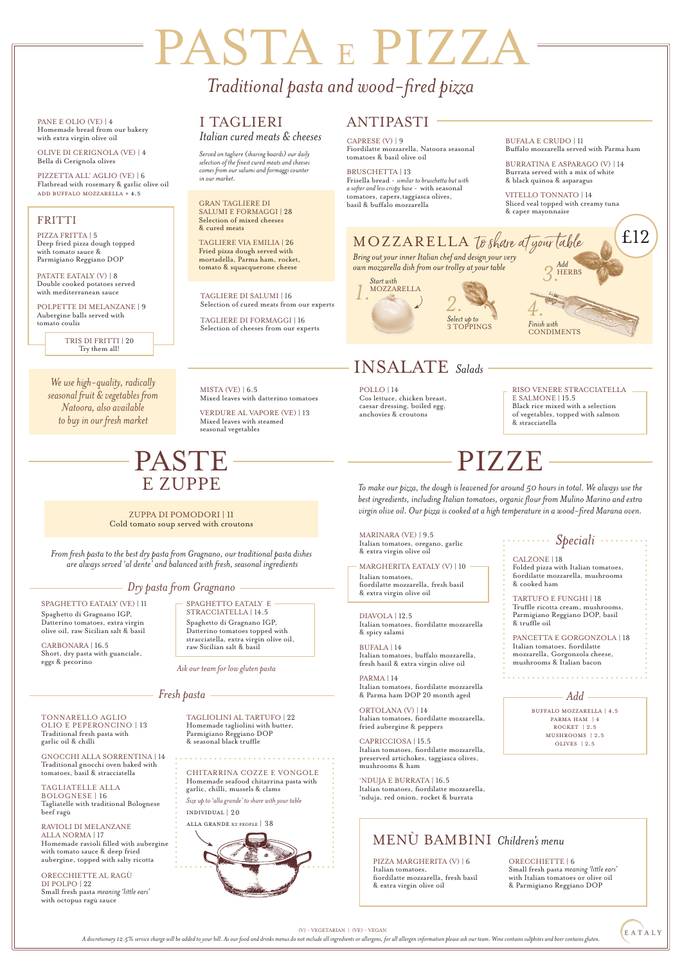## *Traditional pasta and wood-fired pizza*

MARINARA (VE) | 9.5 Italian tomatoes, oregano, garlic & extra virgin olive oil

#### MARGHERITA EATALY (V) | 10

Italian tomatoes, fiordilatte mozzarella, fresh basil & extra virgin olive oil

DIAVOLA | 12.5 Italian tomatoes, fiordilatte mozzarella & spicy salami

> BUFFALO MOZZARELLA | 4.5 PARMA HAM | 4 ROCKET | 2

BUFALA | 14 Italian tomatoes, buffalo mozzarella, fresh basil & extra virgin olive oil

PARMA | 14 Italian tomatoes, fiordilatte mozzarella & Parma ham DOP 20 month aged

ORTOLANA (V) | 14 Italian tomatoes, fiordilatte mozzarella, fried aubergine & peppers

#### CAPRICCIOSA | 15.5

Italian tomatoes, fiordilatte mozzarella, preserved artichokes, taggiasca olives, mushrooms & ham

#### 'NDUJA E BURRATA | 16.5

Italian tomatoes, fiordilatte mozzarella, 'nduja, red onion, rocket & burrata

*Add*

MISTA (VE)  $| 6.5$ Mixed leaves with datterino tomatoes

#### MUSHROOMs | 2.5 OLIVES | 2.5

#### *Speciali*

CALZONE | 18 Folded pizza with Italian tomatoes,

fiordilatte mozzarella, mushrooms & cooked ham

PATATE EATALY (V) | 8 Double cooked potatoes served with mediterranean sauce

#### TARTUFO E FUNGHI | 18

Truffle ricotta cream, mushrooms, Parmigiano Reggiano DOP, basil & truffle oil

PANCETTA E GORGONZOLA | 18 Italian tomatoes, fiordilatte mozzarella, Gorgonzola cheese, mushrooms & Italian bacon

*To make our pizza, the dough is leavened for around 50 hours in total. We always use the best ingredients, including Italian tomatoes, organic flour from Mulino Marino and extra virgin olive oil. Our pizza is cooked at a high temperature in a wood-fired Marana oven.*

## PIZZE

# PASTA E PIZZA

(V) - VEGETARIAN | (VE) - VEGAN



A discretionary 12.5% service charge will be added to your bill. As our food and drinks menus do not include all ingredients or allergens, for all allergen information please ask our team. Wine contains sulphites and beer

PANE E OLIO (VE) | 4 Homemade bread from our bakery with extra virgin olive oil

OLIVE DI CERIGNOLA (VE) | 4 Bella di Cerignola olives

PIZZETTA ALL' AGLIO (VE) | 6 Flatbread with rosemary & garlic olive oil ADD BUFfALo MOZZARELLA + 4.5

*We use high-quality, radically seasonal fruit & vegetables from Natoora, also available to buy in our fresh market*

## INSALATE *Salads*

VERDURE AL VAPORE (VE) | 13 Mixed leaves with steamed seasonal vegetables

#### FRITTI

PIZZA FRITTA | 5 Deep fried pizza dough topped with tomato sauce & Parmigiano Reggiano DOP

POLPETTE DI MELANZANE | 9 Aubergine balls served with tomato coulis

> TRIS DI FRITTI | 20 Try them all!

*From fresh pasta to the best dry pasta from Gragnano, our traditional pasta dishes are always served 'al dente' and balanced with fresh, seasonal ingredients*

## PASTE E ZUPPE

*Ask our team for low gluten pasta*

#### PIZZA MARGHERITA (V) | 6

Italian tomatoes, fiordilatte mozzarella, fresh basil & extra virgin olive oil

#### ORECCHIETTE | 6

*Finish with* **CONDIMENTS** 

Small fresh pasta *meaning 'little ears'* with Italian tomatoes or olive oil & Parmigiano Reggiano DOP

MENÙ BAMBINI *Children's menu*

#### ZUPPA DI POMODORI | 11 Cold tomato soup served with croutons

#### SPAGHETTO EATALY E

STRACCIATELLA | 14.5 Spaghetto di Gragnano IGP, Datterino tomatoes topped with stracciatella, extra virgin olive oil, raw Sicilian salt & basil

#### SPAGHETTO EATALY (VE) | 11

Spaghetto di Gragnano IGP, Datterino tomatoes, extra virgin olive oil, raw Sicilian salt & basil

CARBONARA | 16.5 Short, dry pasta with guanciale, eggs & pecorino

#### *Dry pasta from Gragnano*

CAPRESE (V) | 9 Fiordilatte mozzarella, Natoora seasonal tomatoes & basil olive oil

BRUSCHETTA | 13 Frisella bread - *similar to bruschetta but with a softer and less crispy base -* with seasonal tomatoes, capers,taggiasca olives, basil & buffalo mozzarella

POLLO | 14 Cos lettuce, chicken breast, caesar dressing, boiled egg, anchovies & croutons

RISO VENERE STRACCIATELLA E SALMONE | 15.5 Black rice mixed with a selection of vegetables, topped with salmon & stracciatella

TONNARELLO AGLIO OLIO E PEPERONCINO | 13

Traditional fresh pasta with garlic oil & chilli

#### GNOCCHI ALLA SORRENTINA | 14

Traditional gnocchi oven baked with tomatoes, basil & stracciatella

#### TAGLIATELLE ALLA BOLOGNESE | 16 Tagliatelle with traditional Bolognese beef ragù

RAVIOLI DI MELANZANE ALLA NORMA | 17

Homemade ravioli filled with aubergine with tomato sauce & deep fried aubergine, topped with salty ricotta

#### ORECCHIETTE AL RAGÙ DI POLPO | 22 Small fresh pasta *meaning 'little ears'* with octopus ragù sauce

TAGLIOLINI AL TARTUFO | 22 Homemade tagliolini with butter, Parmigiano Reggiano DOP & seasonal black truffle

#### CHITARRINA COZZE E VONGOLE Homemade seafood chitarrina pasta with garlic, chilli, mussels & clams

*Size up to 'alla grande' to share with your table*

individual | 20

alla grande x2 people | 38



#### *Fresh pasta*

GRAN TAGLIERE DI SALUMI E FORMAGGI | 28 Selection of mixed cheeses & cured meats

TAGLIERE VIA EMILIA | 26 Fried pizza dough served with mortadella, Parma ham, rocket, tomato & squacquerone cheese

TAGLIERE DI SALUMI | 16 Selection of cured meats from our experts

TAGLIERE DI FORMAGGI | 16 Selection of cheeses from our experts

I TAGLIERI *Italian cured meats & cheeses*

### ANTIPASTI

*Served on tagliere (sharing boards) our daily selection of the finest cured meats and cheeses comes from our salumi and formaggi counter in our market.*

BUFALA E CRUDO | 11 Buffalo mozzarella served with Parma ham

BURRATINA E ASPARAGO (V) | 14 Burrata served with a mix of white & black quinoa & asparagus

VITELLO TONNATO | 14 Sliced veal topped with creamy tuna & caper mayonnaise

*Add* HERBS *3.*



### *Select up to*  3 TOPPINGS *2.*

## MOZZARELLA to share at your table

*Bring out your inner Italian chef and design your very own mozzarella dish from our trolley at your table*

*4.*

£12